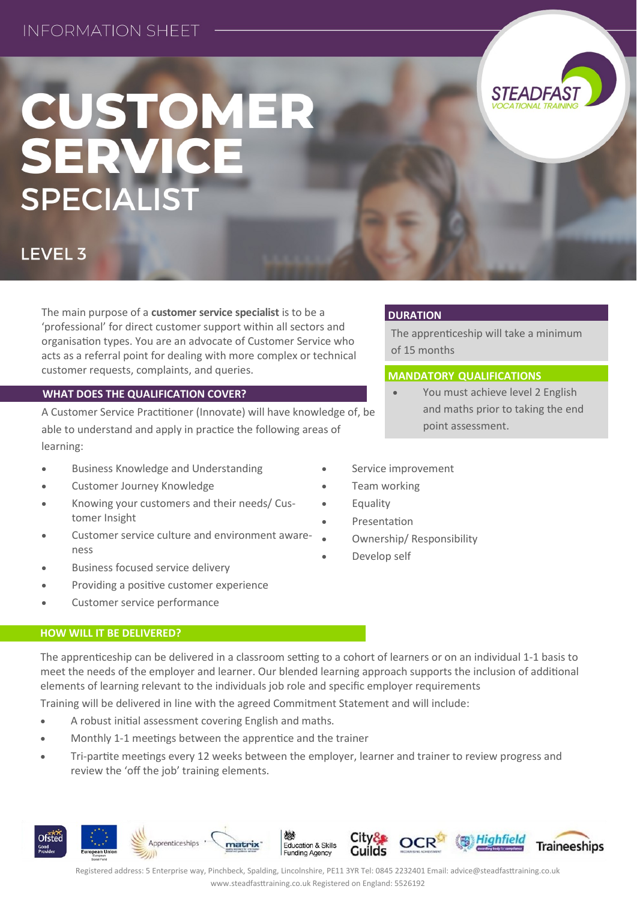# CUSTOMER<br>SERVICE **SPECIALIST**



The apprenticeship will take a minimum

 You must achieve level 2 English and maths prior to taking the end

**MANDATORY QUALIFICATIONS**

point assessment.

## **LEVEL 3**

The main purpose of a **customer service specialist** is to be a 'professional' for direct customer support within all sectors and organisation types. You are an advocate of Customer Service who acts as a referral point for dealing with more complex or technical customer requests, complaints, and queries.

### **WHAT DOES THE QUALIFICATION COVER?**

A Customer Service Practitioner (Innovate) will have knowledge of, be able to understand and apply in practice the following areas of learning:

- **Business Knowledge and Understanding**
- Customer Journey Knowledge
- Knowing your customers and their needs/ Customer Insight
- Customer service culture and environment awareness
- Business focused service delivery
- Providing a positive customer experience
- Customer service performance

#### **HOW WILL IT BE DELIVERED?**

The apprenticeship can be delivered in a classroom setting to a cohort of learners or on an individual 1-1 basis to meet the needs of the employer and learner. Our blended learning approach supports the inclusion of additional elements of learning relevant to the individuals job role and specific employer requirements

Training will be delivered in line with the agreed Commitment Statement and will include:

- A robust initial assessment covering English and maths.
- Monthly 1-1 meetings between the apprentice and the trainer
- Tri-partite meetings every 12 weeks between the employer, learner and trainer to review progress and review the 'off the job' training elements.



of 15 months

**DURATION**

- Service improvement
- Team working
- Equality
- Presentation
- Ownership/ Responsibility
- Develop self

Registered address: 5 Enterprise way, Pinchbeck, Spalding, Lincolnshire, PE11 3YR Tel: 0845 2232401 Email: advice@steadfasttraining.co.uk www.steadfasttraining.co.uk Registered on England: 5526192